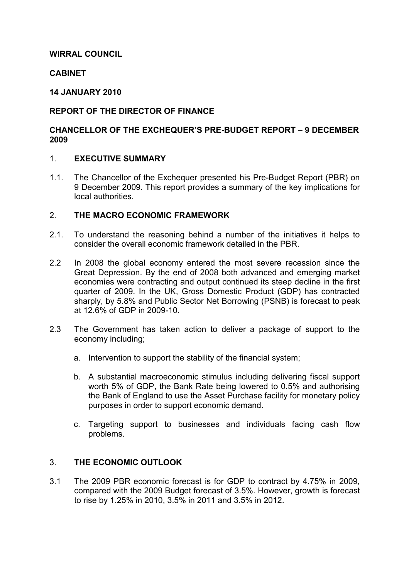## WIRRAL COUNCIL

### CABINET

## 14 JANUARY 2010

# REPORT OF THE DIRECTOR OF FINANCE

## CHANCELLOR OF THE EXCHEQUER'S PRE-BUDGET REPORT – 9 DECEMBER 2009

#### 1. EXECUTIVE SUMMARY

1.1. The Chancellor of the Exchequer presented his Pre-Budget Report (PBR) on 9 December 2009. This report provides a summary of the key implications for local authorities.

#### 2. THE MACRO ECONOMIC FRAMEWORK

- 2.1. To understand the reasoning behind a number of the initiatives it helps to consider the overall economic framework detailed in the PBR.
- 2.2 In 2008 the global economy entered the most severe recession since the Great Depression. By the end of 2008 both advanced and emerging market economies were contracting and output continued its steep decline in the first quarter of 2009. In the UK, Gross Domestic Product (GDP) has contracted sharply, by 5.8% and Public Sector Net Borrowing (PSNB) is forecast to peak at 12.6% of GDP in 2009-10.
- 2.3 The Government has taken action to deliver a package of support to the economy including;
	- a. Intervention to support the stability of the financial system;
	- b. A substantial macroeconomic stimulus including delivering fiscal support worth 5% of GDP, the Bank Rate being lowered to 0.5% and authorising the Bank of England to use the Asset Purchase facility for monetary policy purposes in order to support economic demand.
	- c. Targeting support to businesses and individuals facing cash flow problems.

#### 3. THE ECONOMIC OUTLOOK

3.1 The 2009 PBR economic forecast is for GDP to contract by 4.75% in 2009, compared with the 2009 Budget forecast of 3.5%. However, growth is forecast to rise by 1.25% in 2010, 3.5% in 2011 and 3.5% in 2012.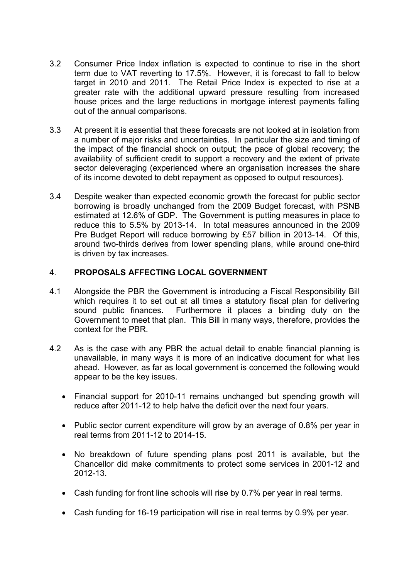- 3.2 Consumer Price Index inflation is expected to continue to rise in the short term due to VAT reverting to 17.5%. However, it is forecast to fall to below target in 2010 and 2011. The Retail Price Index is expected to rise at a greater rate with the additional upward pressure resulting from increased house prices and the large reductions in mortgage interest payments falling out of the annual comparisons.
- 3.3 At present it is essential that these forecasts are not looked at in isolation from a number of major risks and uncertainties. In particular the size and timing of the impact of the financial shock on output; the pace of global recovery; the availability of sufficient credit to support a recovery and the extent of private sector deleveraging (experienced where an organisation increases the share of its income devoted to debt repayment as opposed to output resources).
- 3.4 Despite weaker than expected economic growth the forecast for public sector borrowing is broadly unchanged from the 2009 Budget forecast, with PSNB estimated at 12.6% of GDP. The Government is putting measures in place to reduce this to 5.5% by 2013-14. In total measures announced in the 2009 Pre Budget Report will reduce borrowing by £57 billion in 2013-14. Of this, around two-thirds derives from lower spending plans, while around one-third is driven by tax increases.

## 4. PROPOSALS AFFECTING LOCAL GOVERNMENT

- 4.1 Alongside the PBR the Government is introducing a Fiscal Responsibility Bill which requires it to set out at all times a statutory fiscal plan for delivering sound public finances. Furthermore it places a binding duty on the Government to meet that plan. This Bill in many ways, therefore, provides the context for the PBR.
- 4.2 As is the case with any PBR the actual detail to enable financial planning is unavailable, in many ways it is more of an indicative document for what lies ahead. However, as far as local government is concerned the following would appear to be the key issues.
	- Financial support for 2010-11 remains unchanged but spending growth will reduce after 2011-12 to help halve the deficit over the next four years.
	- Public sector current expenditure will grow by an average of 0.8% per year in real terms from 2011-12 to 2014-15.
	- No breakdown of future spending plans post 2011 is available, but the Chancellor did make commitments to protect some services in 2001-12 and 2012-13.
	- Cash funding for front line schools will rise by 0.7% per year in real terms.
	- Cash funding for 16-19 participation will rise in real terms by 0.9% per year.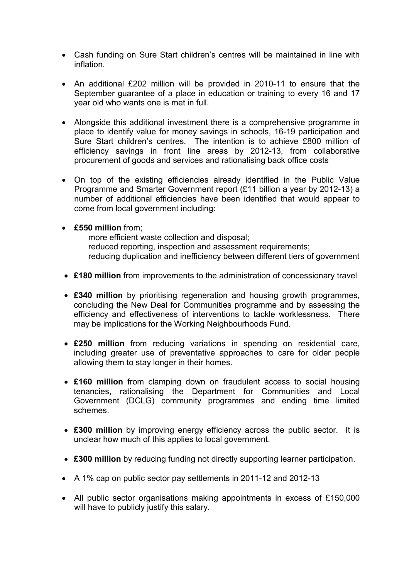- Cash funding on Sure Start children's centres will be maintained in line with inflation.
- An additional £202 million will be provided in 2010-11 to ensure that the September guarantee of a place in education or training to every 16 and 17 year old who wants one is met in full.
- Alongside this additional investment there is a comprehensive programme in place to identify value for money savings in schools, 16-19 participation and Sure Start children's centres. The intention is to achieve £800 million of efficiency savings in front line areas by 2012-13, from collaborative procurement of goods and services and rationalising back office costs
- On top of the existing efficiencies already identified in the Public Value Programme and Smarter Government report (£11 billion a year by 2012-13) a number of additional efficiencies have been identified that would appear to come from local government including:
- £550 million from:

 more efficient waste collection and disposal; reduced reporting, inspection and assessment requirements; reducing duplication and inefficiency between different tiers of government

- £180 million from improvements to the administration of concessionary travel
- £340 million by prioritising regeneration and housing growth programmes, concluding the New Deal for Communities programme and by assessing the efficiency and effectiveness of interventions to tackle worklessness. There may be implications for the Working Neighbourhoods Fund.
- £250 million from reducing variations in spending on residential care, including greater use of preventative approaches to care for older people allowing them to stay longer in their homes.
- £160 million from clamping down on fraudulent access to social housing tenancies, rationalising the Department for Communities and Local Government (DCLG) community programmes and ending time limited schemes.
- £300 million by improving energy efficiency across the public sector. It is unclear how much of this applies to local government.
- £300 million by reducing funding not directly supporting learner participation.
- A 1% cap on public sector pay settlements in 2011-12 and 2012-13
- All public sector organisations making appointments in excess of £150,000 will have to publicly justify this salary.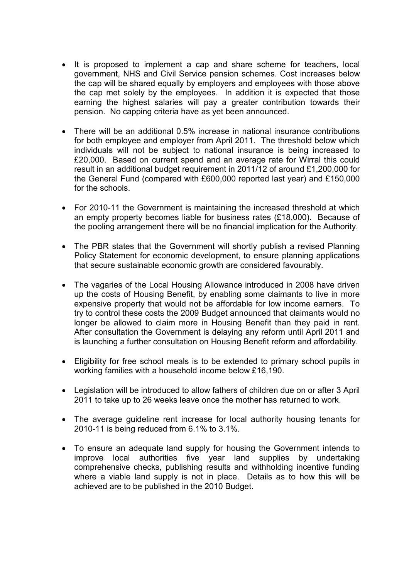- It is proposed to implement a cap and share scheme for teachers, local government, NHS and Civil Service pension schemes. Cost increases below the cap will be shared equally by employers and employees with those above the cap met solely by the employees. In addition it is expected that those earning the highest salaries will pay a greater contribution towards their pension. No capping criteria have as yet been announced.
- There will be an additional 0.5% increase in national insurance contributions for both employee and employer from April 2011. The threshold below which individuals will not be subject to national insurance is being increased to £20,000. Based on current spend and an average rate for Wirral this could result in an additional budget requirement in 2011/12 of around £1,200,000 for the General Fund (compared with £600,000 reported last year) and £150,000 for the schools.
- For 2010-11 the Government is maintaining the increased threshold at which an empty property becomes liable for business rates (£18,000). Because of the pooling arrangement there will be no financial implication for the Authority.
- The PBR states that the Government will shortly publish a revised Planning Policy Statement for economic development, to ensure planning applications that secure sustainable economic growth are considered favourably.
- The vagaries of the Local Housing Allowance introduced in 2008 have driven up the costs of Housing Benefit, by enabling some claimants to live in more expensive property that would not be affordable for low income earners. To try to control these costs the 2009 Budget announced that claimants would no longer be allowed to claim more in Housing Benefit than they paid in rent. After consultation the Government is delaying any reform until April 2011 and is launching a further consultation on Housing Benefit reform and affordability.
- Eligibility for free school meals is to be extended to primary school pupils in working families with a household income below £16,190.
- Legislation will be introduced to allow fathers of children due on or after 3 April 2011 to take up to 26 weeks leave once the mother has returned to work.
- The average guideline rent increase for local authority housing tenants for 2010-11 is being reduced from 6.1% to 3.1%.
- To ensure an adequate land supply for housing the Government intends to improve local authorities five year land supplies by undertaking comprehensive checks, publishing results and withholding incentive funding where a viable land supply is not in place. Details as to how this will be achieved are to be published in the 2010 Budget.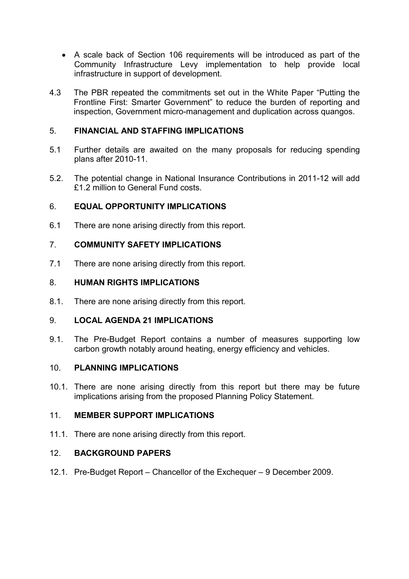- A scale back of Section 106 requirements will be introduced as part of the Community Infrastructure Levy implementation to help provide local infrastructure in support of development.
- 4.3 The PBR repeated the commitments set out in the White Paper "Putting the Frontline First: Smarter Government" to reduce the burden of reporting and inspection, Government micro-management and duplication across quangos.

## 5. FINANCIAL AND STAFFING IMPLICATIONS

- 5.1 Further details are awaited on the many proposals for reducing spending plans after 2010-11.
- 5.2. The potential change in National Insurance Contributions in 2011-12 will add £1.2 million to General Fund costs.

## 6. EQUAL OPPORTUNITY IMPLICATIONS

6.1 There are none arising directly from this report.

## 7. COMMUNITY SAFETY IMPLICATIONS

7.1 There are none arising directly from this report.

### 8. HUMAN RIGHTS IMPLICATIONS

8.1. There are none arising directly from this report.

#### 9. LOCAL AGENDA 21 IMPLICATIONS

9.1. The Pre-Budget Report contains a number of measures supporting low carbon growth notably around heating, energy efficiency and vehicles.

### 10. PLANNING IMPLICATIONS

10.1. There are none arising directly from this report but there may be future implications arising from the proposed Planning Policy Statement.

### 11 MEMBER SUPPORT IMPLICATIONS

11.1. There are none arising directly from this report.

### 12. BACKGROUND PAPERS

12.1. Pre-Budget Report – Chancellor of the Exchequer – 9 December 2009.